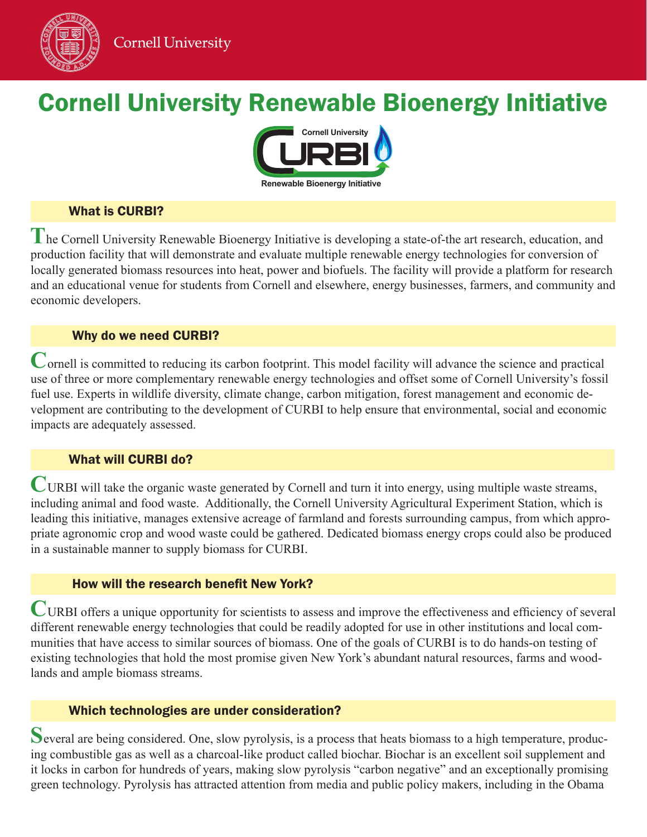

# Cornell University Renewable Bioenergy Initiative



## What is CURBI?

**T**he Cornell University Renewable Bioenergy Initiative is developing a state-of-the art research, education, and production facility that will demonstrate and evaluate multiple renewable energy technologies for conversion of locally generated biomass resources into heat, power and biofuels. The facility will provide a platform for research and an educational venue for students from Cornell and elsewhere, energy businesses, farmers, and community and economic developers.

## Why do we need CURBI?

Cornell is committed to reducing its carbon footprint. This model facility will advance the science and practical use of three or more complementary renewable energy technologies and offset some of Cornell University's fossil fuel use. Experts in wildlife diversity, climate change, carbon mitigation, forest management and economic development are contributing to the development of CURBI to help ensure that environmental, social and economic impacts are adequately assessed.

## What will CURBI do?

**CURBI** will take the organic waste generated by Cornell and turn it into energy, using multiple waste streams, including animal and food waste. Additionally, the Cornell University Agricultural Experiment Station, which is leading this initiative, manages extensive acreage of farmland and forests surrounding campus, from which appropriate agronomic crop and wood waste could be gathered. Dedicated biomass energy crops could also be produced in a sustainable manner to supply biomass for CURBI.

## How will the research benefit New York?

**C**URBI offers a unique opportunity for scientists to assess and improve the effectiveness and efficiency of several different renewable energy technologies that could be readily adopted for use in other institutions and local communities that have access to similar sources of biomass. One of the goals of CURBI is to do hands-on testing of existing technologies that hold the most promise given New York's abundant natural resources, farms and woodlands and ample biomass streams.

## Which technologies are under consideration?

Several are being considered. One, slow pyrolysis, is a process that heats biomass to a high temperature, producing combustible gas as well as a charcoal-like product called biochar. Biochar is an excellent soil supplement and it locks in carbon for hundreds of years, making slow pyrolysis "carbon negative" and an exceptionally promising green technology. Pyrolysis has attracted attention from media and public policy makers, including in the Obama